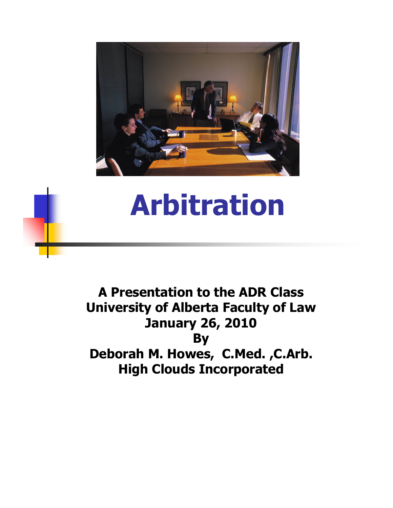

#### **Arbitration**

**A Presentation to the ADR Class University of Alberta Faculty of Law January 26, 2010 By Deborah M. Howes, C.Med. ,C.Arb. High Clouds Incorporated**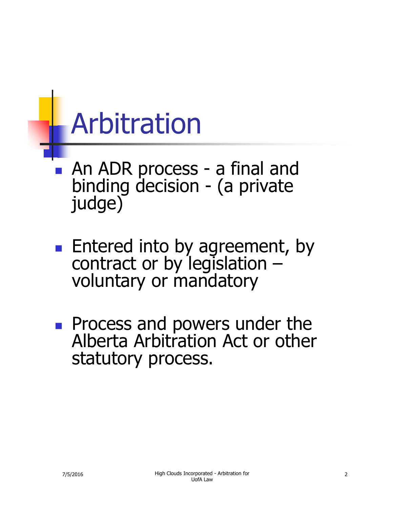#### Arbitration

- An ADR process a final and binding decision - (a private judge)
- **Entered into by agreement, by** contract or by legislation – voluntary or mandatory
- **Process and powers under the** Alberta Arbitration Act or other statutory process.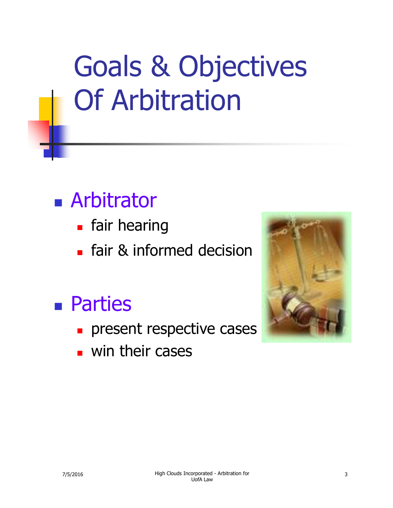#### Goals & Objectives Of Arbitration

#### **Arbitrator**

- **Fair hearing**
- **Fig.** fair & informed decision

#### Parties

- **present respective cases**
- **win their cases**

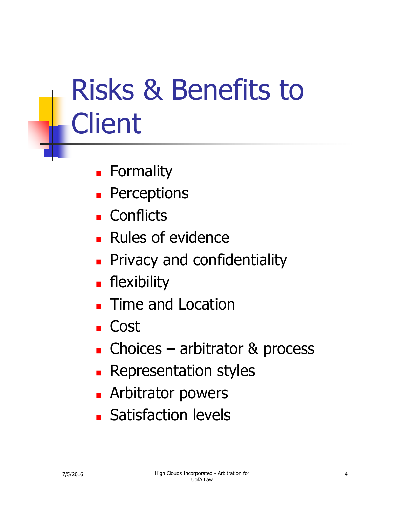# Risks & Benefits to **Client**

- **E** Formality
- **Perceptions**
- **Conflicts**
- **Rules of evidence**
- **Privacy and confidentiality**
- **Filexibility**
- **Time and Location**
- Cost
- **Choices arbitrator & process**
- **Representation styles**
- **Arbitrator powers**
- **Satisfaction levels**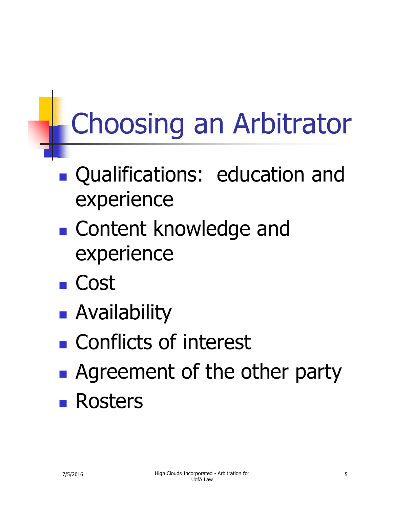# Choosing an Arbitrator

- Qualifications: education and experience
- **E** Content knowledge and experience
- Cost
- **Availability**
- **Conflicts of interest**
- **Agreement of the other party Rosters**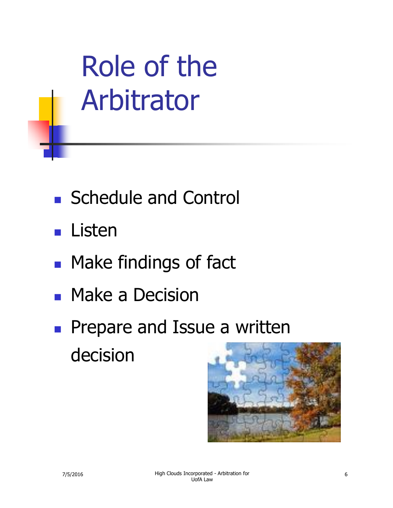Role of the Arbitrator

- Schedule and Control
- Listen
- **Nake findings of fact**
- **Nake a Decision**
- **Prepare and Issue a written** decision

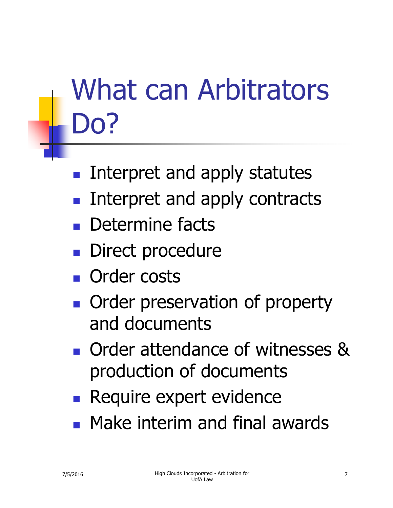## What can Arbitrators Do?

- Interpret and apply statutes
- Interpret and apply contracts
- **Determine facts**
- **Direct procedure**
- **n** Order costs
- **Order preservation of property** and documents
- **Order attendance of witnesses &** production of documents
- **Require expert evidence**
- **Nake interim and final awards**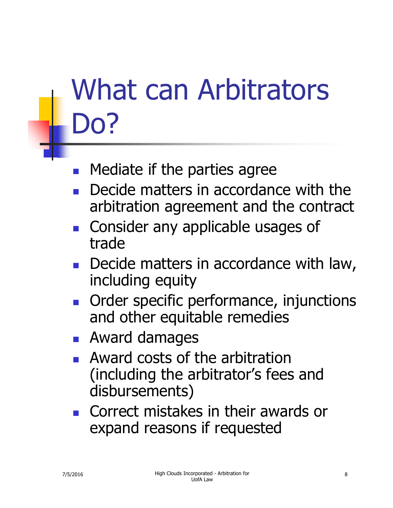## What can Arbitrators Do?

- Mediate if the parties agree
- Decide matters in accordance with the arbitration agreement and the contract
- **Consider any applicable usages of** trade
- Decide matters in accordance with law, including equity
- **Order specific performance, injunctions** and other equitable remedies
- **Award damages**
- **Award costs of the arbitration** (including the arbitrator's fees and disbursements)
- Correct mistakes in their awards or expand reasons if requested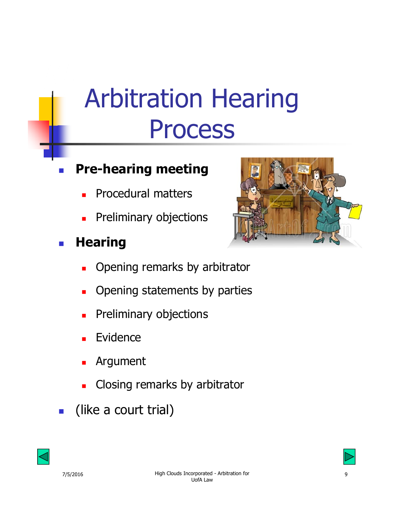#### Arbitration Hearing Process

#### **Pre-hearing meeting**

- Procedural matters
- Preliminary objections

#### **Hearing**



- Opening remarks by arbitrator
- Opening statements by parties
- Preliminary objections
- Evidence
- Argument
- Closing remarks by arbitrator
- (like a court trial)



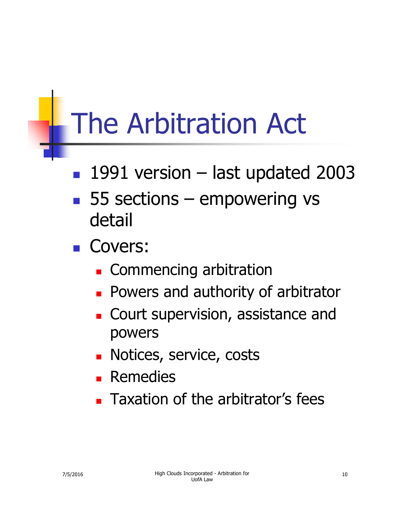### The Arbitration Act

- 1991 version last updated 2003
- 55 sections empowering vs detail
- Covers:
	- **Commencing arbitration**
	- **Powers and authority of arbitrator**
	- **Court supervision, assistance and** powers
	- **Notices, service, costs**
	- **Remedies**
	- **Taxation of the arbitrator's fees**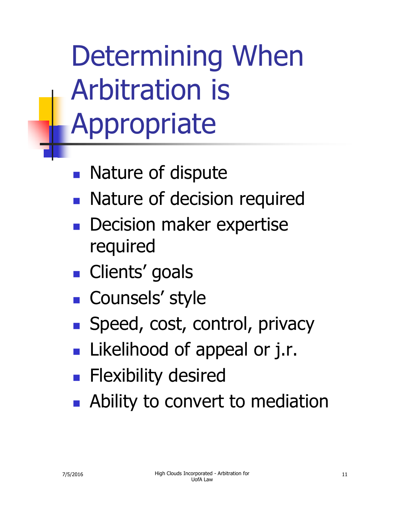## Determining When Arbitration is Appropriate

- **Nature of dispute**
- **Nature of decision required**
- Decision maker expertise required
- **Clients' goals**
- **Counsels' style**
- Speed, cost, control, privacy
- **Likelihood of appeal or j.r.**
- **Flexibility desired**
- **Ability to convert to mediation**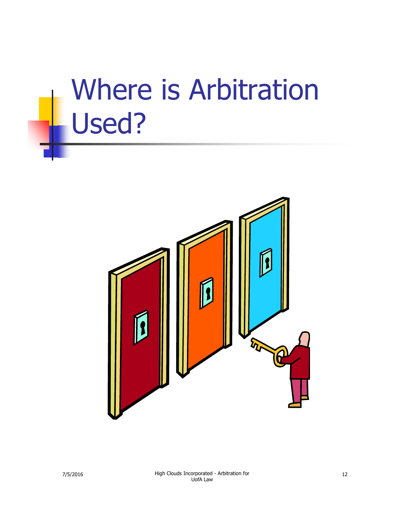#### Where is Arbitration Used?

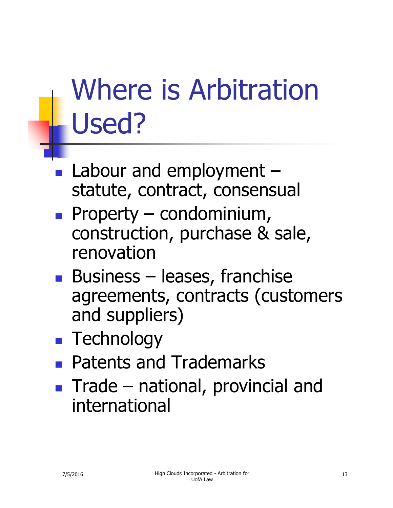## Where is Arbitration Used?

- Labour and employment statute, contract, consensual
- Property condominium, construction, purchase & sale, renovation
- **Business leases, franchise** agreements, contracts (customers and suppliers)
- **Technology**
- **Patents and Trademarks**
- **Trade national, provincial and** international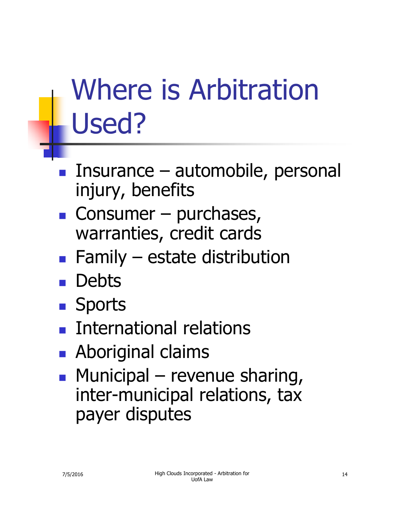## Where is Arbitration Used?

- Insurance automobile, personal injury, benefits
- $\blacksquare$  Consumer purchases, warranties, credit cards
- Family estate distribution
- **Debts**
- **Sports**
- International relations
- **Aboriginal claims**
- $\blacksquare$  Municipal revenue sharing, inter-municipal relations, tax payer disputes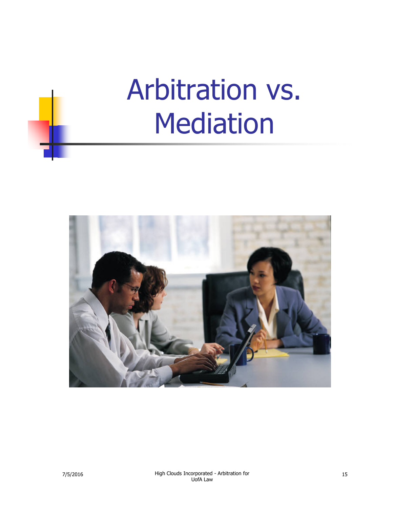#### Arbitration vs. Mediation

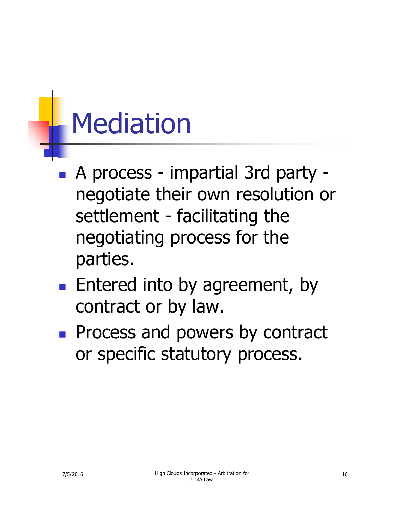#### Mediation

- A process impartial 3rd party negotiate their own resolution or settlement - facilitating the negotiating process for the parties.
- **Entered into by agreement, by** contract or by law.
- **Process and powers by contract** or specific statutory process.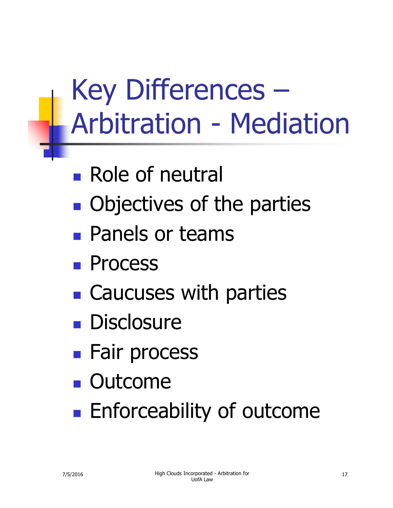#### Key Differences – Arbitration - Mediation

- **Role of neutral**
- **Objectives of the parties**
- **Panels or teams**
- **Process**
- **E** Caucuses with parties
- **Disclosure**
- **Fair process**
- **Outcome**
- **Enforceability of outcome**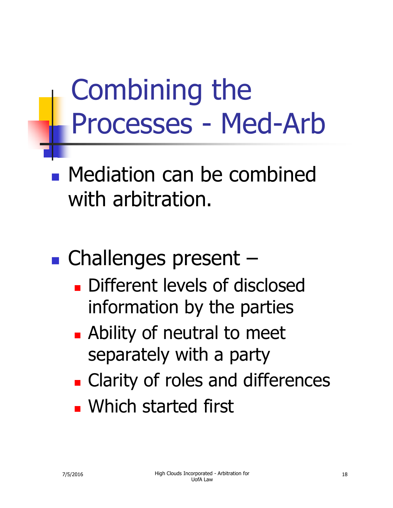#### Combining the Processes - Med-Arb

**Nediation can be combined** with arbitration.

■ Challenges present –

- **Different levels of disclosed** information by the parties
- **Ability of neutral to meet** separately with a party
- **Example 2 Clarity of roles and differences**
- **NHich started first**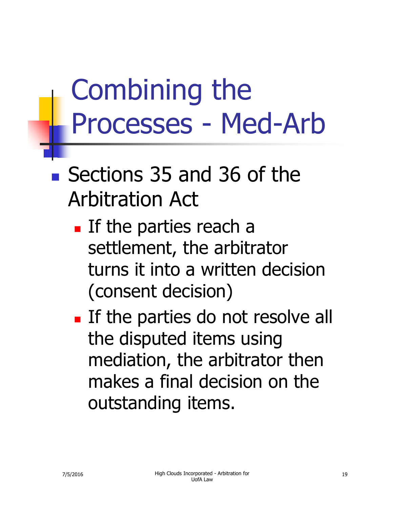#### Combining the Processes - Med-Arb

#### ■ Sections 35 and 36 of the Arbitration Act

- **If the parties reach a** settlement, the arbitrator turns it into a written decision (consent decision)
- **If the parties do not resolve all** the disputed items using mediation, the arbitrator then makes a final decision on the outstanding items.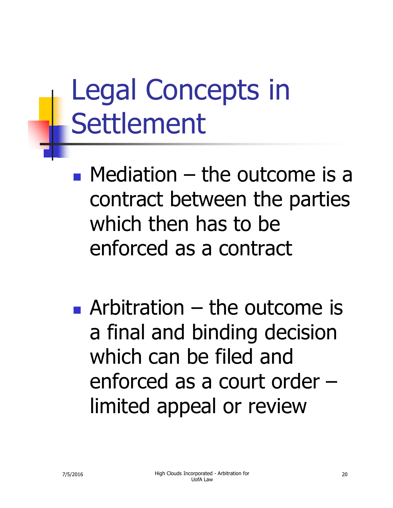## Legal Concepts in Settlement

 $\blacksquare$  Mediation – the outcome is a contract between the parties which then has to be enforced as a contract

**Arbitration – the outcome is** a final and binding decision which can be filed and enforced as a court order – limited appeal or review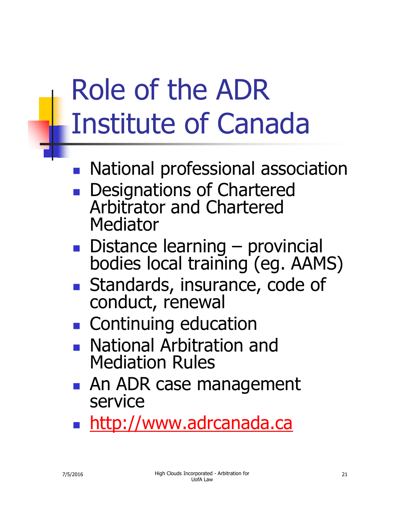### Role of the ADR Institute of Canada

- **National professional association**
- **Designations of Chartered** Arbitrator and Chartered Mediator
- Distance learning provincial bodies local training (eg. AAMS)
- **Standards, insurance, code of** conduct, renewal
- **Continuing education**
- **National Arbitration and** Mediation Rules
- **An ADR case management** service
- **http://www.adrcanada.ca**